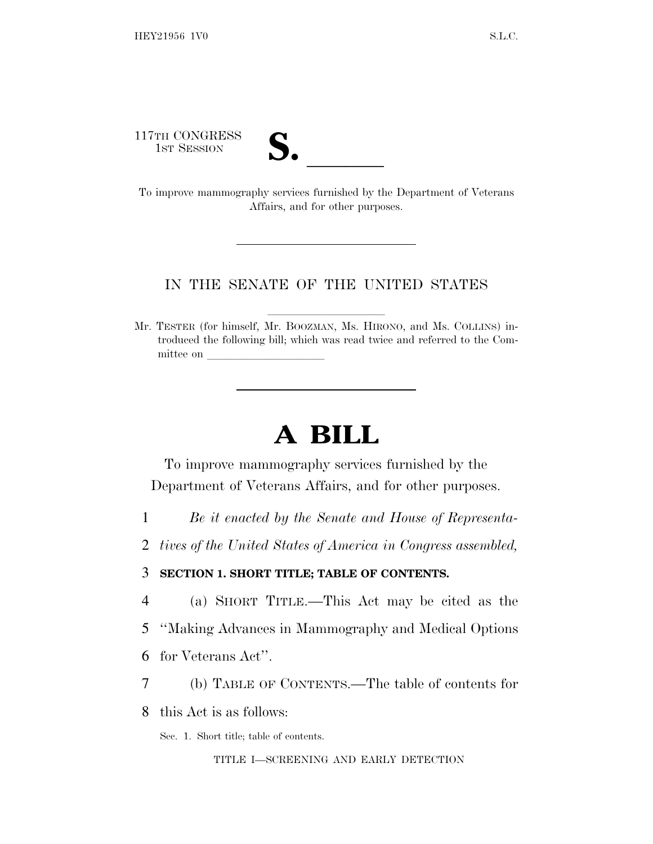117TH CONGRESS

| $\blacksquare$          |  |
|-------------------------|--|
| $\overline{\mathsf{v}}$ |  |

17TH CONGRESS<br>
1ST SESSION<br>
To improve mammography services furnished by the Department of Veterans Affairs, and for other purposes.

#### IN THE SENATE OF THE UNITED STATES

Mr. TESTER (for himself, Mr. BOOZMAN, Ms. HIRONO, and Ms. COLLINS) introduced the following bill; which was read twice and referred to the Committee on

# **A BILL**

To improve mammography services furnished by the Department of Veterans Affairs, and for other purposes.

- 1 *Be it enacted by the Senate and House of Representa-*
- 2 *tives of the United States of America in Congress assembled,*

#### 3 **SECTION 1. SHORT TITLE; TABLE OF CONTENTS.**

- 4 (a) SHORT TITLE.—This Act may be cited as the
- 5 ''Making Advances in Mammography and Medical Options
- 6 for Veterans Act''.
- 7 (b) TABLE OF CONTENTS.—The table of contents for
- 8 this Act is as follows:
	- Sec. 1. Short title; table of contents.

#### TITLE I—SCREENING AND EARLY DETECTION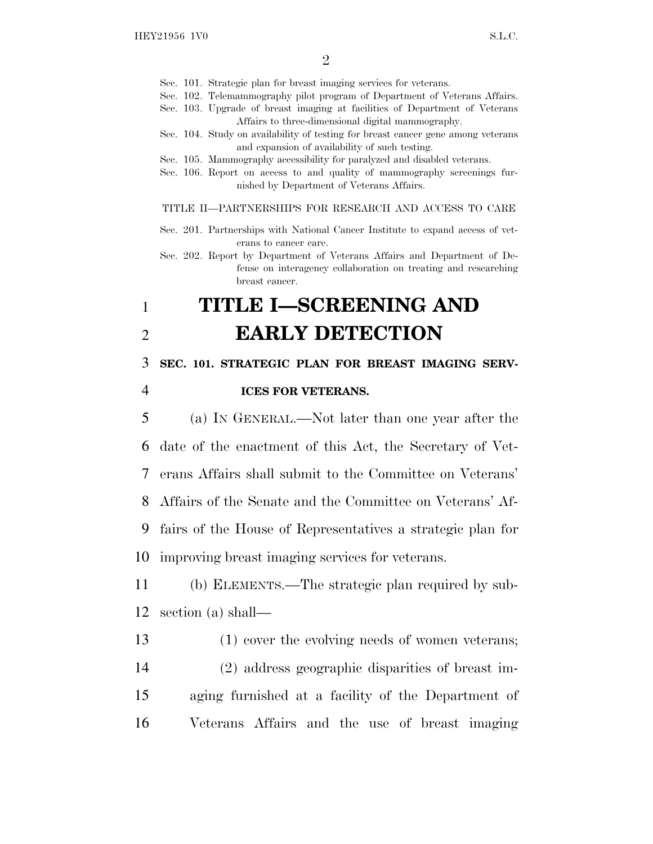Sec. 101. Strategic plan for breast imaging services for veterans.

- Sec. 102. Telemammography pilot program of Department of Veterans Affairs.
- Sec. 103. Upgrade of breast imaging at facilities of Department of Veterans Affairs to three-dimensional digital mammography.
- Sec. 104. Study on availability of testing for breast cancer gene among veterans and expansion of availability of such testing.
- Sec. 105. Mammography accessibility for paralyzed and disabled veterans.
- Sec. 106. Report on access to and quality of mammography screenings furnished by Department of Veterans Affairs.

TITLE II—PARTNERSHIPS FOR RESEARCH AND ACCESS TO CARE

- Sec. 201. Partnerships with National Cancer Institute to expand access of veterans to cancer care.
- Sec. 202. Report by Department of Veterans Affairs and Department of Defense on interagency collaboration on treating and researching breast cancer.

## 1 **TITLE I—SCREENING AND** 2 **EARLY DETECTION**

3 **SEC. 101. STRATEGIC PLAN FOR BREAST IMAGING SERV-**

#### 4 **ICES FOR VETERANS.**

 (a) I<sup>N</sup> GENERAL.—Not later than one year after the date of the enactment of this Act, the Secretary of Vet- erans Affairs shall submit to the Committee on Veterans' Affairs of the Senate and the Committee on Veterans' Af- fairs of the House of Representatives a strategic plan for improving breast imaging services for veterans.

11 (b) ELEMENTS.—The strategic plan required by sub-12 section (a) shall—

 (1) cover the evolving needs of women veterans; (2) address geographic disparities of breast im- aging furnished at a facility of the Department of Veterans Affairs and the use of breast imaging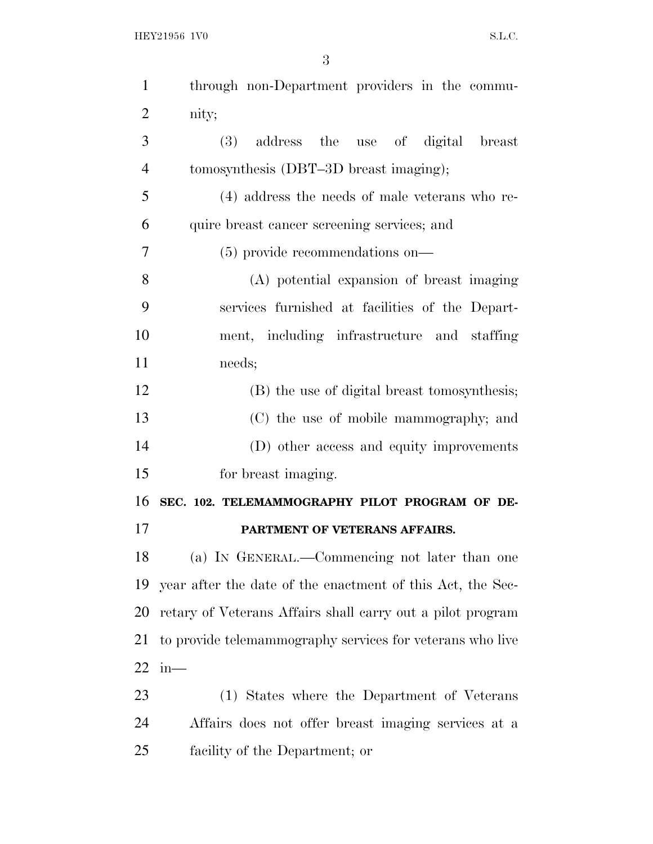| $\mathbf{1}$   | through non-Department providers in the commu-             |
|----------------|------------------------------------------------------------|
| $\overline{2}$ | nity;                                                      |
| 3              | address the use of digital breast<br>(3)                   |
| $\overline{4}$ | tomosynthesis (DBT-3D breast imaging);                     |
| 5              | (4) address the needs of male veterans who re-             |
| 6              | quire breast cancer screening services; and                |
| 7              | $(5)$ provide recommendations on—                          |
| 8              | (A) potential expansion of breast imaging                  |
| 9              | services furnished at facilities of the Depart-            |
| 10             | ment, including infrastructure and staffing                |
| 11             | needs;                                                     |
| 12             | (B) the use of digital breast tomosynthesis;               |
| 13             | (C) the use of mobile mammography; and                     |
| 14             | (D) other access and equity improvements                   |
| 15             | for breast imaging.                                        |
| 16             | SEC. 102. TELEMAMMOGRAPHY PILOT PROGRAM OF DE-             |
| 17             | PARTMENT OF VETERANS AFFAIRS.                              |
| 18             | (a) IN GENERAL.—Commencing not later than one              |
| 19             | year after the date of the enactment of this Act, the Sec- |
| 20             | retary of Veterans Affairs shall carry out a pilot program |
| 21             | to provide telemammography services for veterans who live  |
| 22             | in—                                                        |
| 23             | (1) States where the Department of Veterans                |
| 24             | Affairs does not offer breast imaging services at a        |
| 25             | facility of the Department; or                             |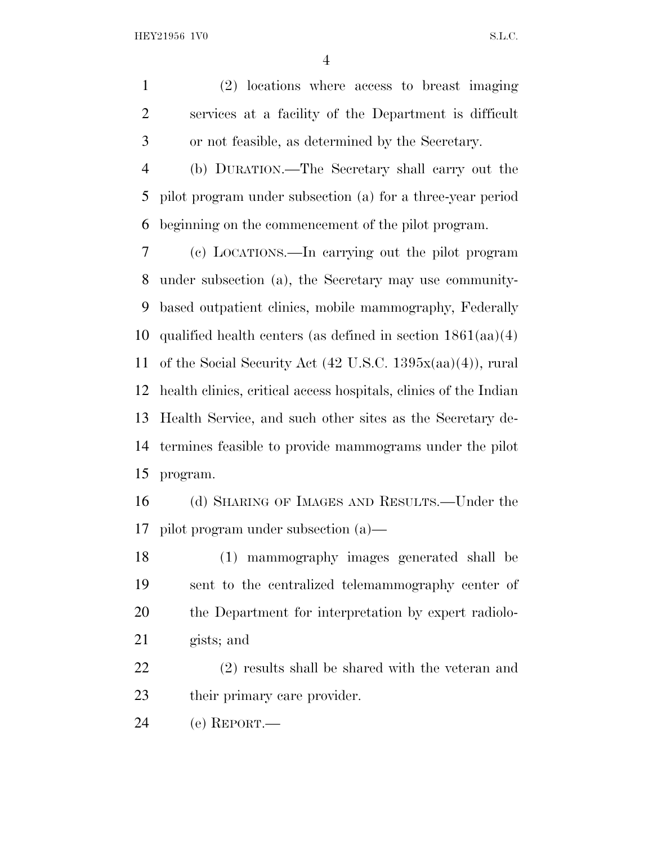(2) locations where access to breast imaging services at a facility of the Department is difficult or not feasible, as determined by the Secretary.

 (b) DURATION.—The Secretary shall carry out the pilot program under subsection (a) for a three-year period beginning on the commencement of the pilot program.

 (c) LOCATIONS.—In carrying out the pilot program under subsection (a), the Secretary may use community- based outpatient clinics, mobile mammography, Federally qualified health centers (as defined in section 1861(aa)(4) of the Social Security Act (42 U.S.C. 1395x(aa)(4)), rural health clinics, critical access hospitals, clinics of the Indian Health Service, and such other sites as the Secretary de- termines feasible to provide mammograms under the pilot program.

 (d) SHARING OF IMAGES AND RESULTS.—Under the pilot program under subsection (a)—

 (1) mammography images generated shall be sent to the centralized telemammography center of the Department for interpretation by expert radiolo-gists; and

 (2) results shall be shared with the veteran and their primary care provider.

(e) REPORT.—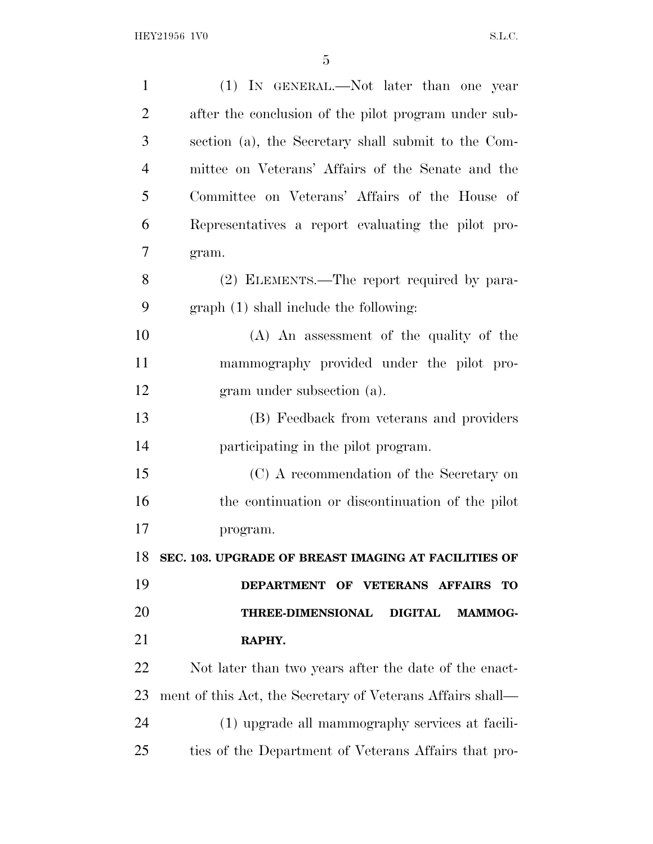| $\mathbf{1}$   | (1) IN GENERAL.—Not later than one year                      |
|----------------|--------------------------------------------------------------|
| $\overline{2}$ | after the conclusion of the pilot program under sub-         |
| 3              | section (a), the Secretary shall submit to the Com-          |
| $\overline{4}$ | mittee on Veterans' Affairs of the Senate and the            |
| 5              | Committee on Veterans' Affairs of the House of               |
| 6              | Representatives a report evaluating the pilot pro-           |
| 7              | gram.                                                        |
| 8              | (2) ELEMENTS.—The report required by para-                   |
| 9              | graph (1) shall include the following:                       |
| 10             | (A) An assessment of the quality of the                      |
| 11             | mammography provided under the pilot pro-                    |
| 12             | gram under subsection (a).                                   |
| 13             | (B) Feedback from veterans and providers                     |
| 14             | participating in the pilot program.                          |
| 15             | (C) A recommendation of the Secretary on                     |
| 16             | the continuation or discontinuation of the pilot             |
| 17             | program.                                                     |
| 18             | SEC. 103. UPGRADE OF BREAST IMAGING AT FACILITIES OF         |
| 19             | DEPARTMENT OF VETERANS AFFAIRS<br><b>TO</b>                  |
| 20             | <b>THREE-DIMENSIONAL</b><br><b>DIGITAL</b><br><b>MAMMOG-</b> |
| 21             | RAPHY.                                                       |
| 22             | Not later than two years after the date of the enact-        |
| 23             | ment of this Act, the Secretary of Veterans Affairs shall—   |
| 24             | (1) upgrade all mammography services at facili-              |
| 25             | ties of the Department of Veterans Affairs that pro-         |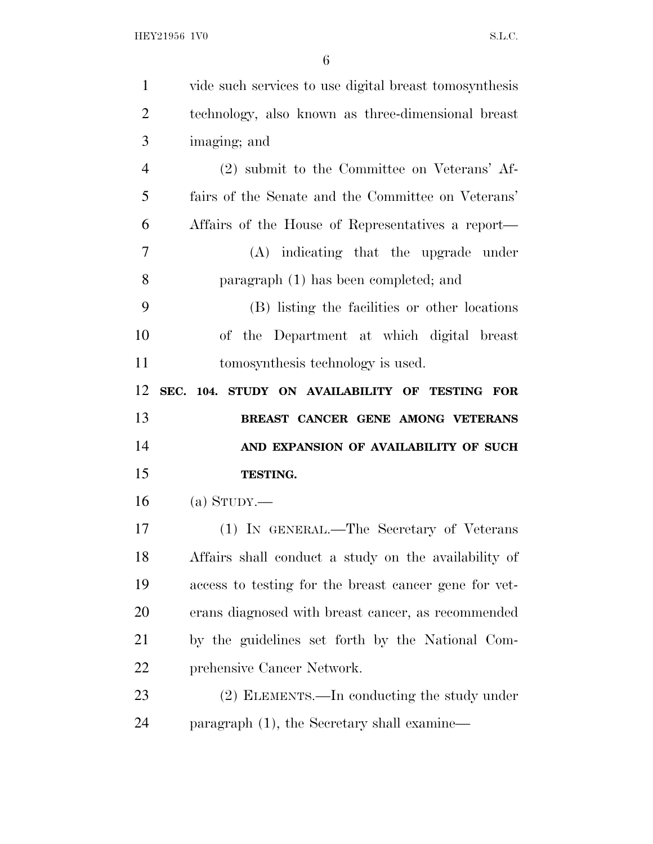| $\mathbf{1}$   | vide such services to use digital breast tomosynthesis |
|----------------|--------------------------------------------------------|
| $\overline{2}$ | technology, also known as three-dimensional breast     |
| 3              | imaging; and                                           |
| $\overline{4}$ | (2) submit to the Committee on Veterans' Af-           |
| 5              | fairs of the Senate and the Committee on Veterans'     |
| 6              | Affairs of the House of Representatives a report—      |
| 7              | (A) indicating that the upgrade under                  |
| 8              | paragraph (1) has been completed; and                  |
| 9              | (B) listing the facilities or other locations          |
| 10             | of the Department at which digital breast              |
| 11             | tomosynthesis technology is used.                      |
| 12             | SEC. 104. STUDY ON AVAILABILITY OF TESTING FOR         |
|                |                                                        |
| 13             | BREAST CANCER GENE AMONG VETERANS                      |
| 14             | AND EXPANSION OF AVAILABILITY OF SUCH                  |
| 15             | <b>TESTING.</b>                                        |
| 16             | (a) $S_{TUDY}$ .                                       |
| 17             | (1) IN GENERAL.—The Secretary of Veterans              |
| 18             | Affairs shall conduct a study on the availability of   |
| 19             | access to testing for the breast cancer gene for vet-  |
| 20             | erans diagnosed with breast cancer, as recommended     |
| 21             | by the guidelines set forth by the National Com-       |
| 22             | prehensive Cancer Network.                             |
| 23             | (2) ELEMENTS.—In conducting the study under            |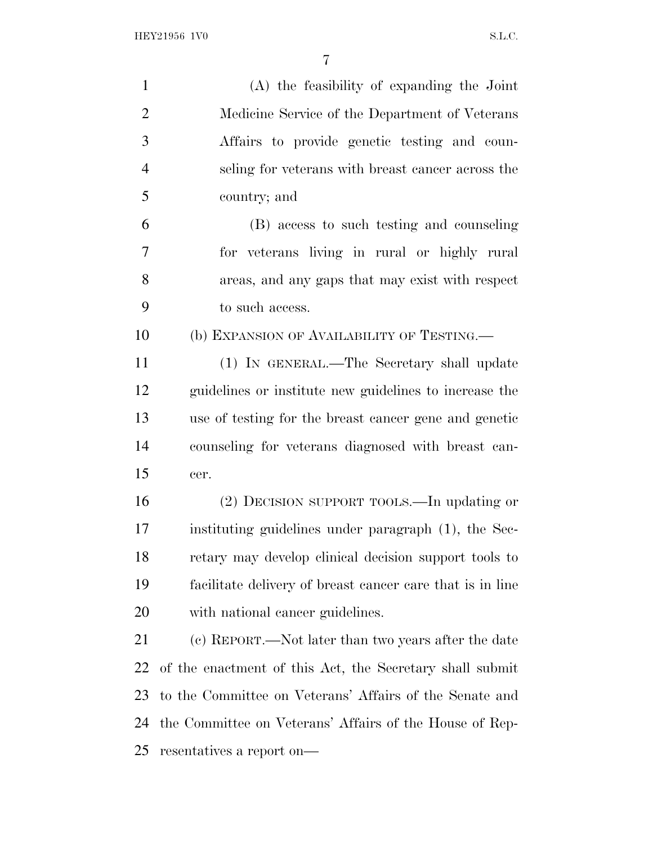(A) the feasibility of expanding the Joint Medicine Service of the Department of Veterans Affairs to provide genetic testing and coun- seling for veterans with breast cancer across the country; and (B) access to such testing and counseling for veterans living in rural or highly rural

 areas, and any gaps that may exist with respect to such access.

(b) EXPANSION OF AVAILABILITY OF TESTING.—

 (1) IN GENERAL.—The Secretary shall update guidelines or institute new guidelines to increase the use of testing for the breast cancer gene and genetic counseling for veterans diagnosed with breast can-cer.

 (2) DECISION SUPPORT TOOLS.—In updating or instituting guidelines under paragraph (1), the Sec- retary may develop clinical decision support tools to facilitate delivery of breast cancer care that is in line with national cancer guidelines.

 (c) REPORT.—Not later than two years after the date of the enactment of this Act, the Secretary shall submit to the Committee on Veterans' Affairs of the Senate and the Committee on Veterans' Affairs of the House of Rep-resentatives a report on—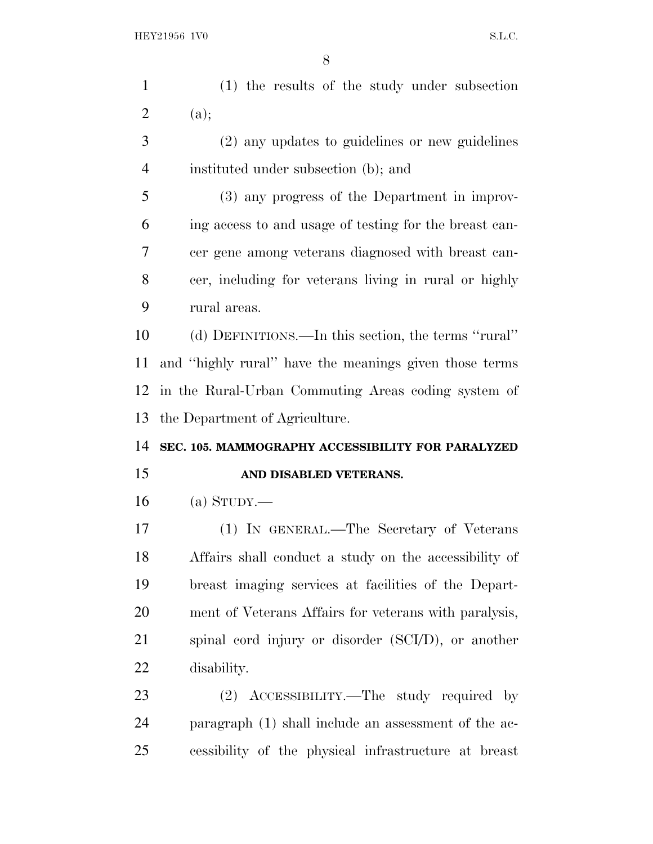| $\mathbf{1}$   | (1) the results of the study under subsection          |
|----------------|--------------------------------------------------------|
| $\overline{2}$ | (a);                                                   |
| 3              | (2) any updates to guidelines or new guidelines        |
| $\overline{4}$ | instituted under subsection (b); and                   |
| 5              | (3) any progress of the Department in improv-          |
| 6              | ing access to and usage of testing for the breast can- |
| 7              | cer gene among veterans diagnosed with breast can-     |
| 8              | cer, including for veterans living in rural or highly  |
| 9              | rural areas.                                           |
| 10             | (d) DEFINITIONS.—In this section, the terms "rural"    |
| 11             | and "highly rural" have the meanings given those terms |
| 12             | in the Rural-Urban Commuting Areas coding system of    |
| 13             | the Department of Agriculture.                         |
| 14             | SEC. 105. MAMMOGRAPHY ACCESSIBILITY FOR PARALYZED      |
| 15             | AND DISABLED VETERANS.                                 |
| 16             | $(a)$ STUDY.—                                          |
| 17             | (1) IN GENERAL.—The Secretary of Veterans              |
| 18             |                                                        |
|                | Affairs shall conduct a study on the accessibility of  |
| 19             | breast imaging services at facilities of the Depart-   |
| 20             | ment of Veterans Affairs for veterans with paralysis,  |
| 21             | spinal cord injury or disorder (SCI/D), or another     |
| 22             | disability.                                            |

 (2) ACCESSIBILITY.—The study required by paragraph (1) shall include an assessment of the ac-cessibility of the physical infrastructure at breast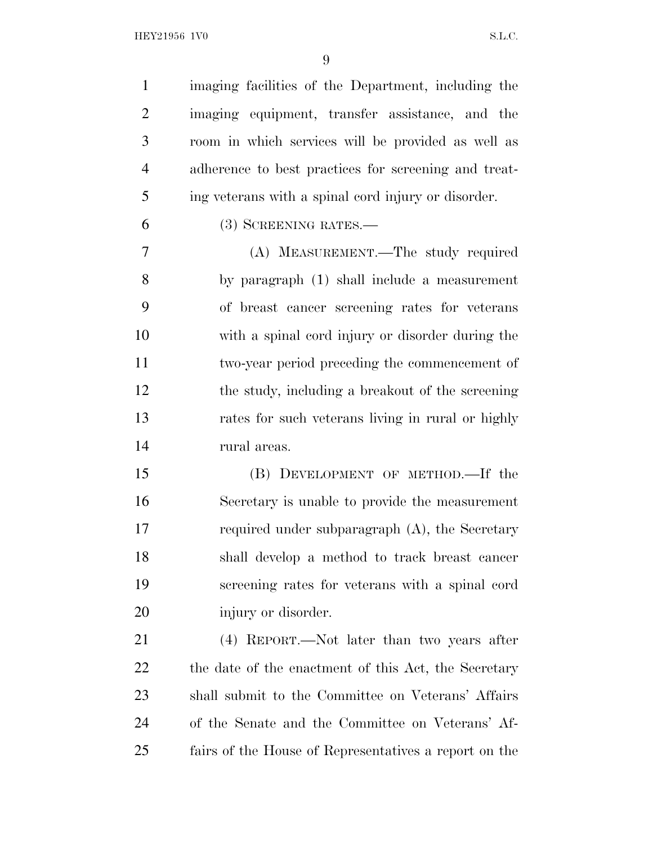HEY21956 1V0 S.L.C.

 imaging facilities of the Department, including the imaging equipment, transfer assistance, and the room in which services will be provided as well as adherence to best practices for screening and treat-ing veterans with a spinal cord injury or disorder.

(3) SCREENING RATES.—

 (A) MEASUREMENT.—The study required by paragraph (1) shall include a measurement of breast cancer screening rates for veterans with a spinal cord injury or disorder during the two-year period preceding the commencement of the study, including a breakout of the screening rates for such veterans living in rural or highly rural areas.

 (B) DEVELOPMENT OF METHOD.—If the Secretary is unable to provide the measurement required under subparagraph (A), the Secretary shall develop a method to track breast cancer screening rates for veterans with a spinal cord injury or disorder.

 (4) REPORT.—Not later than two years after 22 the date of the enactment of this Act, the Secretary shall submit to the Committee on Veterans' Affairs of the Senate and the Committee on Veterans' Af-fairs of the House of Representatives a report on the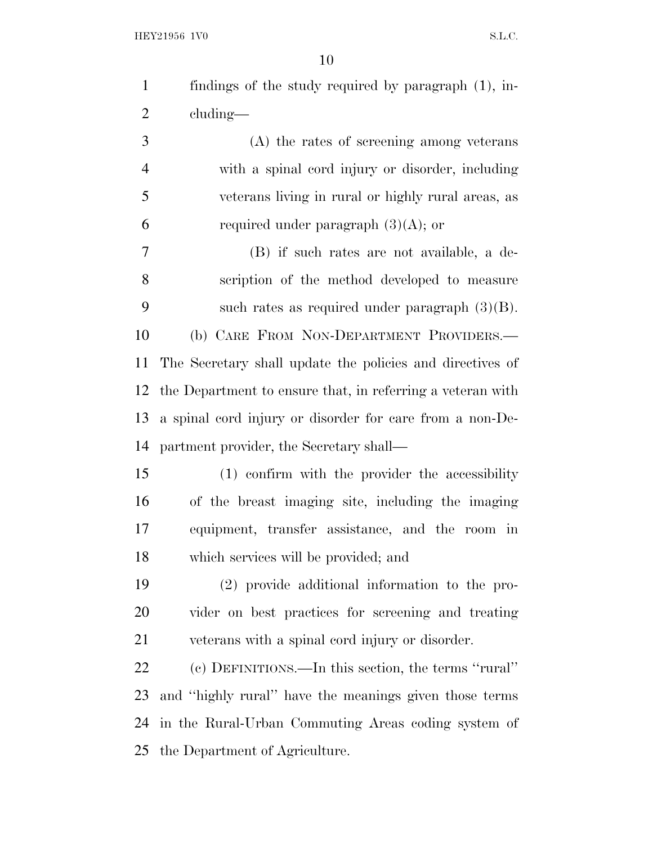HEY21956 1V0 S.L.C.

 findings of the study required by paragraph (1), in- cluding— (A) the rates of screening among veterans with a spinal cord injury or disorder, including veterans living in rural or highly rural areas, as

6 required under paragraph  $(3)(A)$ ; or

 (B) if such rates are not available, a de- scription of the method developed to measure such rates as required under paragraph (3)(B). (b) CARE FROM NON-DEPARTMENT PROVIDERS.— The Secretary shall update the policies and directives of the Department to ensure that, in referring a veteran with a spinal cord injury or disorder for care from a non-De-partment provider, the Secretary shall—

 (1) confirm with the provider the accessibility of the breast imaging site, including the imaging equipment, transfer assistance, and the room in which services will be provided; and

 (2) provide additional information to the pro- vider on best practices for screening and treating veterans with a spinal cord injury or disorder.

 (c) DEFINITIONS.—In this section, the terms ''rural'' and ''highly rural'' have the meanings given those terms in the Rural-Urban Commuting Areas coding system of the Department of Agriculture.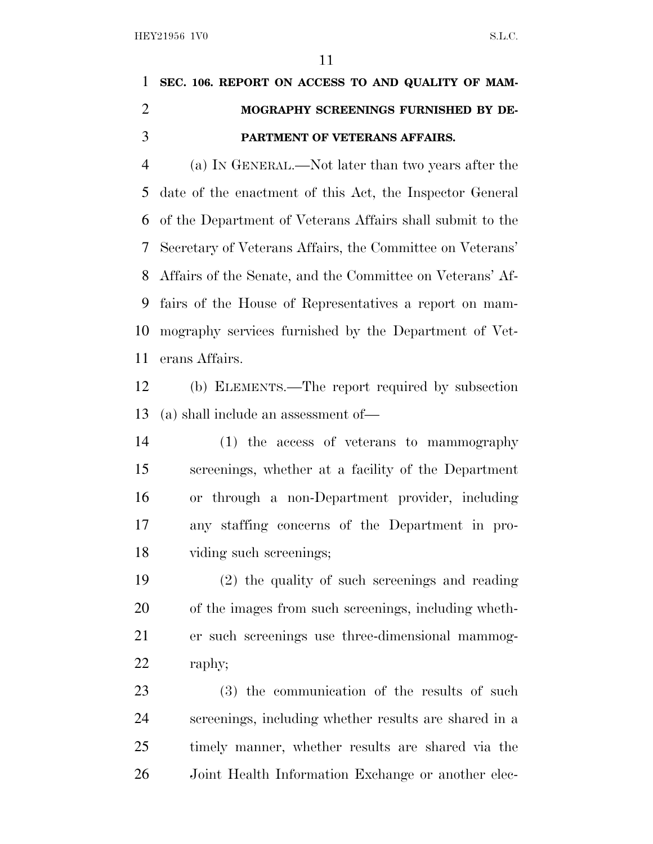## **SEC. 106. REPORT ON ACCESS TO AND QUALITY OF MAM- MOGRAPHY SCREENINGS FURNISHED BY DE-PARTMENT OF VETERANS AFFAIRS.**

 (a) I<sup>N</sup> GENERAL.—Not later than two years after the date of the enactment of this Act, the Inspector General of the Department of Veterans Affairs shall submit to the Secretary of Veterans Affairs, the Committee on Veterans' Affairs of the Senate, and the Committee on Veterans' Af- fairs of the House of Representatives a report on mam- mography services furnished by the Department of Vet-erans Affairs.

 (b) ELEMENTS.—The report required by subsection (a) shall include an assessment of—

 (1) the access of veterans to mammography screenings, whether at a facility of the Department or through a non-Department provider, including any staffing concerns of the Department in pro-viding such screenings;

 (2) the quality of such screenings and reading of the images from such screenings, including wheth- er such screenings use three-dimensional mammog-raphy;

 (3) the communication of the results of such screenings, including whether results are shared in a timely manner, whether results are shared via the Joint Health Information Exchange or another elec-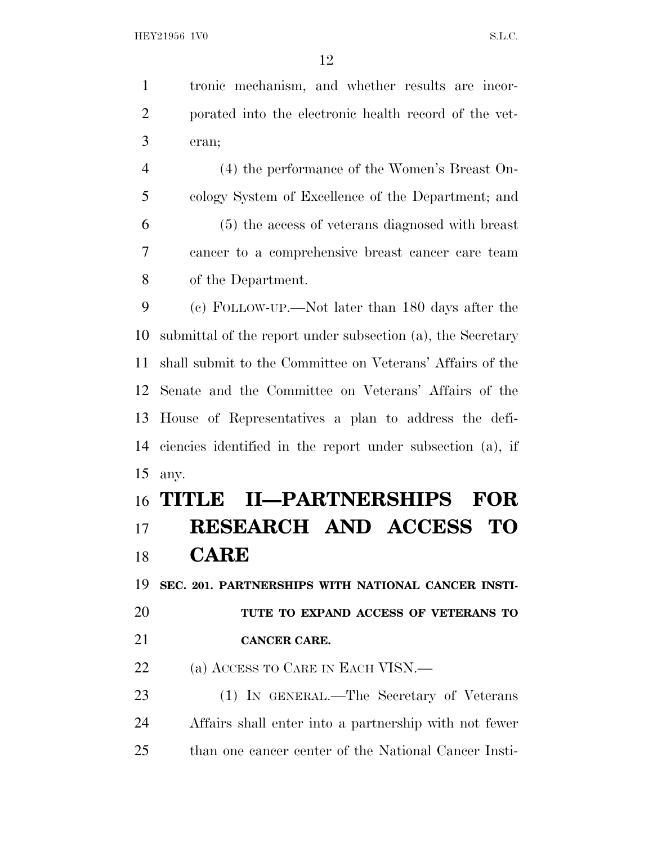tronic mechanism, and whether results are incor- porated into the electronic health record of the vet-eran;

 (4) the performance of the Women's Breast On- cology System of Excellence of the Department; and (5) the access of veterans diagnosed with breast cancer to a comprehensive breast cancer care team of the Department.

 (c) FOLLOW-UP.—Not later than 180 days after the submittal of the report under subsection (a), the Secretary shall submit to the Committee on Veterans' Affairs of the Senate and the Committee on Veterans' Affairs of the House of Representatives a plan to address the defi- ciencies identified in the report under subsection (a), if any.

# **TITLE II—PARTNERSHIPS FOR RESEARCH AND ACCESS TO CARE**

**SEC. 201. PARTNERSHIPS WITH NATIONAL CANCER INSTI-**

 **TUTE TO EXPAND ACCESS OF VETERANS TO CANCER CARE.**

22 (a) ACCESS TO CARE IN EACH VISN.—

 (1) IN GENERAL.—The Secretary of Veterans Affairs shall enter into a partnership with not fewer than one cancer center of the National Cancer Insti-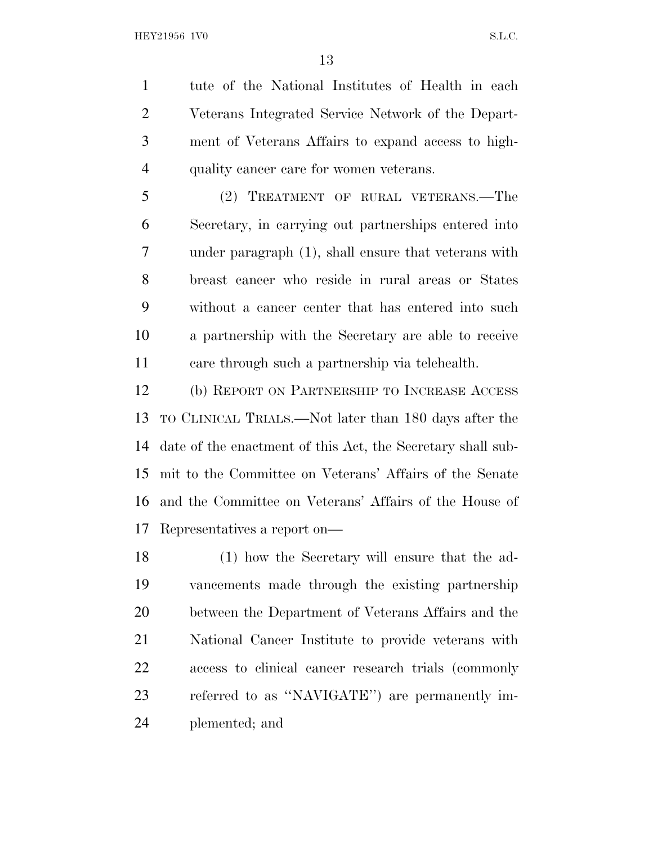tute of the National Institutes of Health in each Veterans Integrated Service Network of the Depart- ment of Veterans Affairs to expand access to high-quality cancer care for women veterans.

 (2) TREATMENT OF RURAL VETERANS.—The Secretary, in carrying out partnerships entered into under paragraph (1), shall ensure that veterans with breast cancer who reside in rural areas or States without a cancer center that has entered into such a partnership with the Secretary are able to receive care through such a partnership via telehealth.

 (b) REPORT ON PARTNERSHIP TO INCREASE ACCESS TO CLINICAL TRIALS.—Not later than 180 days after the date of the enactment of this Act, the Secretary shall sub- mit to the Committee on Veterans' Affairs of the Senate and the Committee on Veterans' Affairs of the House of Representatives a report on—

 (1) how the Secretary will ensure that the ad- vancements made through the existing partnership between the Department of Veterans Affairs and the National Cancer Institute to provide veterans with access to clinical cancer research trials (commonly referred to as ''NAVIGATE'') are permanently im-plemented; and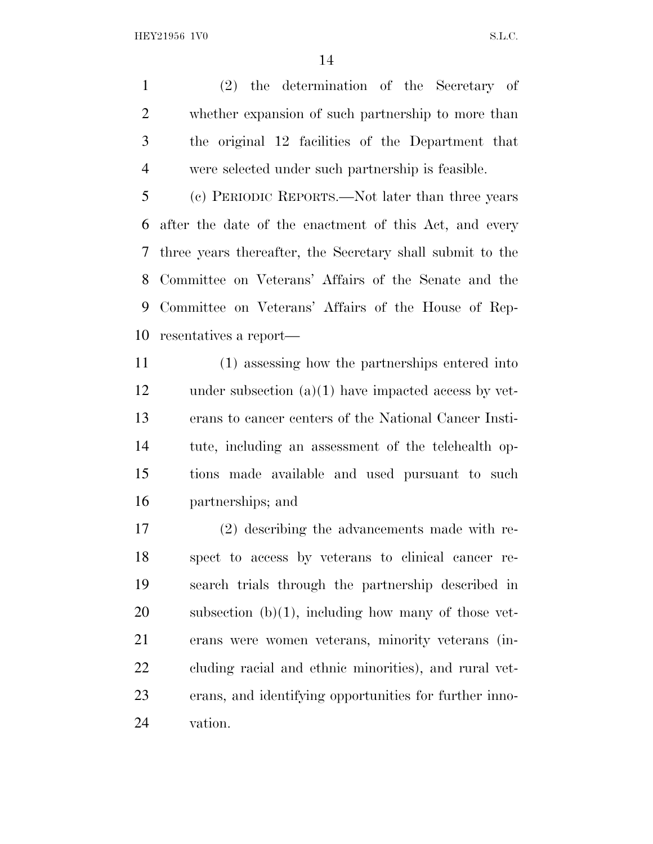(2) the determination of the Secretary of whether expansion of such partnership to more than the original 12 facilities of the Department that were selected under such partnership is feasible.

 (c) PERIODIC REPORTS.—Not later than three years after the date of the enactment of this Act, and every three years thereafter, the Secretary shall submit to the Committee on Veterans' Affairs of the Senate and the Committee on Veterans' Affairs of the House of Rep-resentatives a report—

 (1) assessing how the partnerships entered into under subsection (a)(1) have impacted access by vet- erans to cancer centers of the National Cancer Insti- tute, including an assessment of the telehealth op- tions made available and used pursuant to such partnerships; and

 (2) describing the advancements made with re- spect to access by veterans to clinical cancer re- search trials through the partnership described in subsection (b)(1), including how many of those vet- erans were women veterans, minority veterans (in- cluding racial and ethnic minorities), and rural vet- erans, and identifying opportunities for further inno-vation.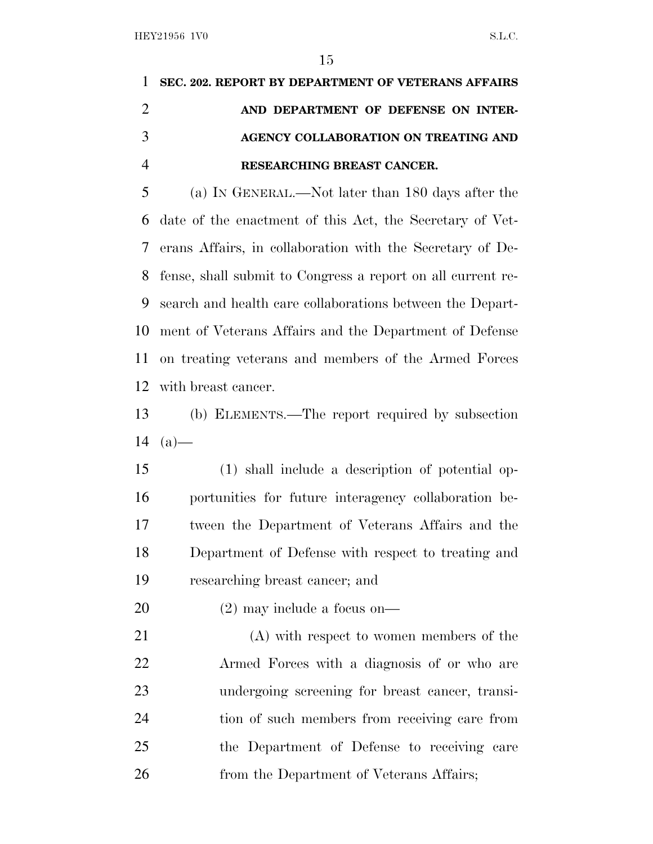# **SEC. 202. REPORT BY DEPARTMENT OF VETERANS AFFAIRS AND DEPARTMENT OF DEFENSE ON INTER- AGENCY COLLABORATION ON TREATING AND RESEARCHING BREAST CANCER.**

 (a) I<sup>N</sup> GENERAL.—Not later than 180 days after the date of the enactment of this Act, the Secretary of Vet- erans Affairs, in collaboration with the Secretary of De- fense, shall submit to Congress a report on all current re- search and health care collaborations between the Depart- ment of Veterans Affairs and the Department of Defense on treating veterans and members of the Armed Forces with breast cancer.

 (b) ELEMENTS.—The report required by subsection 14  $(a)$ —

 (1) shall include a description of potential op- portunities for future interagency collaboration be- tween the Department of Veterans Affairs and the Department of Defense with respect to treating and researching breast cancer; and

(2) may include a focus on—

 (A) with respect to women members of the Armed Forces with a diagnosis of or who are undergoing screening for breast cancer, transi- tion of such members from receiving care from the Department of Defense to receiving care 26 from the Department of Veterans Affairs;